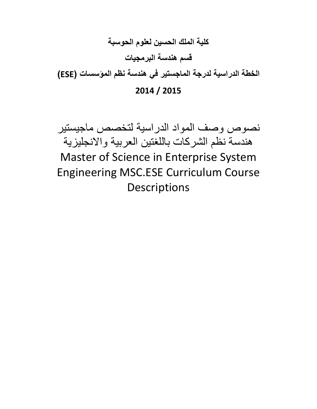## **كلية الملك الحسين لعلوم الحوسبة قسم هندسة البرمجيات**

**الخطة الدراسية لدرجة الماجستير في هندسة نظم المؤسسات )ESE)**

## **2014 / 2015**

نصوص وصف المواد الدراسية لتخصص ماجيستير هندسة نظم الشركات باللغتين العربية واالنجليزية Master of Science in Enterprise System Engineering MSC.ESE Curriculum Course Descriptions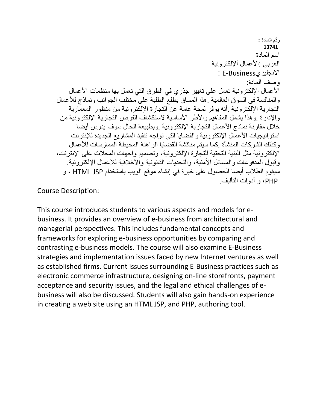**رقم المادة : 13741** اسم المادة العربي :الأعمال ألإلكترونية : E-Businessاالنجليزي وصف المادة: الأعمال الإلكترونية تعمل على تغيير جذري في الطرق التي تعمل بها منظمات الأعمال والمنافسة في السوق العالمية .هذا المساق يطلع الطلبة على مختلف الجوانب ونماذج لألعمال التجارية اإللكترونية .أنه يوفر لمحة عامة عن التجارة اإللكترونية من منظور المعمارية والإدارة .وهذا يشمل المفاهيم والأطر الأساسية لاستكشاف الفرص التجارية الإلكترونية من خلال مقارنة نماذج الأعمال التجارية الإلكترونية .وبطبيعة الحال سوف يدرس أيضا استر اتيجيات الأعمال الإلكترونية والقضايا التي تواجه تنفيذ المشاريع الجديدة للإنترنت وكذلك الشركات المنشأة .كما سيتم مناقشة القضايا الراهنة المحيطة الممارسات لألعمال اإللكترونية مثل البنية التحتية للتجارة اإللكترونية، وتصميم واجهات المحالت على اإلنترنت، وقبول المدفو عات والمسائل الأمنية، والتحديات القانونية والأخلاقية للأعمال الإلكتر ونية. سيقوم الطالب أيضا الحصول على خبرة في إنشاء موقع الويب باستخدام JSP HTML ، و PHP، و أدوات التأليف.

Course Description:

This course introduces students to various aspects and models for ebusiness. It provides an overview of e-business from architectural and managerial perspectives. This includes fundamental concepts and frameworks for exploring e-business opportunities by comparing and contrasting e-business models. The course will also examine E-Business strategies and implementation issues faced by new Internet ventures as well as established firms. Current issues surrounding E-Business practices such as electronic commerce infrastructure, designing on-line storefronts, payment acceptance and security issues, and the legal and ethical challenges of ebusiness will also be discussed. Students will also gain hands-on experience in creating a web site using an HTML JSP, and PHP, authoring tool.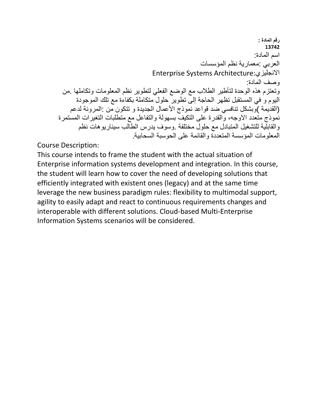**رقم المادة : 13742** اسم المادة: العربي :معمارية نظم المؤسسات Enterprise Systems Architecture:االنجليزي وصف المادة: وتعتزم هذه الوحدة لتأطير الطالب مع الوضع الفعلي لتطوير نظم المعلومات وتكاملها .من اليوم و في المستقبل تظهر الحاجة إلى تطوير حلول متكاملة بكفاءة مع تلك الموجودة (القديمة )وبشكل تنافسي ضد قواعد نموذج األعمال الجديدة و تتكون من :المرونة لدعم نموذج متعدد االوجه، والقدرة على التكيف بسهولة والتفاعل مع متطلبات التغيرات المستمرة والقابلية للتشغيل المتبادل مع حلول مختلفة .وسوف يدرس الطالب سيناريوهات نظم المعلومات المؤسسة المتعددة والقائمة على الحوسبة السحابية.

Course Description:

This course intends to frame the student with the actual situation of Enterprise information systems development and integration. In this course, the student will learn how to cover the need of developing solutions that efficiently integrated with existent ones (legacy) and at the same time leverage the new business paradigm rules: flexibility to multimodal support, agility to easily adapt and react to continuous requirements changes and interoperable with different solutions. Cloud-based Multi-Enterprise Information Systems scenarios will be considered.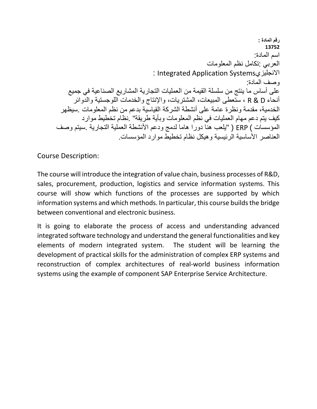**رقم المادة : 13752** اسم المادة: العربي :تكامل نظم المعلومات : Integrated Application Systemsاالنجليزي وصف المادة: على أساس ما ينتج من سلسلة القيمة من العمليات التجارية المشاريع الصناعية في جميع أنحاء D & R ، ستعطى المبيعات، المشتريات، واإلنتاج والخدمات اللوجستية والدوائر الخدمية، مقدمة ونظرة عامة على أنشطة الشركة القياسية بدعم من نظم المعلومات .سيظهر كيف يتم دعم مهام العمليات في نظم المعلومات وبأية طريقة" .نظام تخطيط موارد المؤسسات ) ERP ( "يلعب هنا دورا هاما لدمج ودعم الأنشطة العملية التجارية .سيتم وصف العناصر الأساسية الرئيسية وهيكل نظام تخطيط موارد المؤسسات.

Course Description:

The course will introduce the integration of value chain, business processes of R&D, sales, procurement, production, logistics and service information systems. This course will show which functions of the processes are supported by which information systems and which methods. In particular, this course builds the bridge between conventional and electronic business.

It is going to elaborate the process of access and understanding advanced integrated software technology and understand the general functionalities and key elements of modern integrated system. The student will be learning the development of practical skills for the administration of complex ERP systems and reconstruction of complex architectures of real-world business information systems using the example of component SAP Enterprise Service Architecture.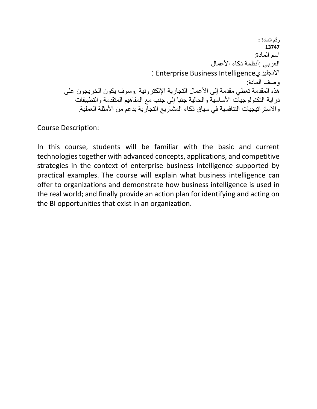**رقم المادة : 13747** اسم المادة: العربي :أنظمة ذكاء الأعمال : Enterprise Business Intelligenceاالنجليزي وصف المادة: هذه المقدمة تعطي مقدمة إلى الأعمال التجارية الإلكترونية .وسوف يكون الخريجون على دراية التكنولوجيات الأساسية والحالية جنبا إلى جنب مع المفاهيم المتقدمة والتطبيقات والاستراتيجيات التنافسية في سياق ذكاء المشاريع التجارية بدعم من الأمثلة العملية.

Course Description:

In this course, students will be familiar with the basic and current technologies together with advanced concepts, applications, and competitive strategies in the context of enterprise business intelligence supported by practical examples. The course will explain what business intelligence can offer to organizations and demonstrate how business intelligence is used in the real world; and finally provide an action plan for identifying and acting on the BI opportunities that exist in an organization.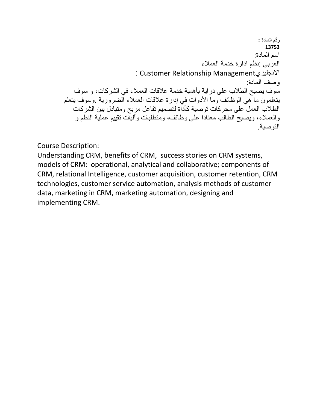**رقم المادة : 13753** اسم المادة: العربي :نظم ادارة خدمة العمالء : Customer Relationship Managementاالنجليزي وصف المادة: سوف يصبح الطالب على دراية بأهمية خدمة عالقات العمالء في الشركات، و سوف يتعلمون ما هي الوظائف وما األدوات في إدارة عالقات العمالء الضرورية .وسوف يتعلم الطالب العمل على محركات توصية كأداة لتصميم تفاعل مربح ومتبادل بين الشركات والعمالء، ويصبح الطالب معتادا على وظائف، ومتطلبات وآليات تقييم عملية النظم و التوصية.

Course Description:

Understanding CRM, benefits of CRM, success stories on CRM systems, models of CRM: operational, analytical and collaborative; components of CRM, relational Intelligence, customer acquisition, customer retention, CRM technologies, customer service automation, analysis methods of customer data, marketing in CRM, marketing automation, designing and implementing CRM.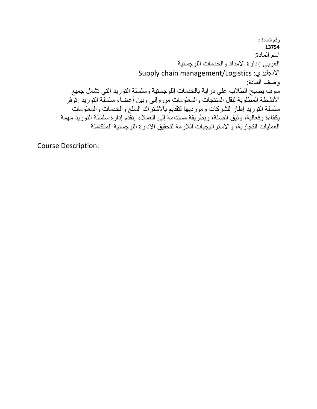**رقم المادة : 13754** اسم المادة: العربي :ادارة االمداد والخدمات اللوجستية Supply chain management/Logistics :االنجليزي وصف المادة: سوف يصبح الطالب على دراية بالخدمات اللوجستية وسلسلة التوريد التي تشمل جميع األنشطة المطلوبة لنقل المنتجات والمعلومات من وإلى وبين أعضاء سلسلة التوريد .توفر سلسلة التوريد إطار للشركات ومورديها لتقديم باالشتراك السلع والخدمات والمعلومات بكفاءة وفعالية، وثيق الصلة، وبطريقة مستدامة إلى العمالء .تقدم إدارة سلسلة التوريد مهمة العمليات التجارية، واالستراتيجيات الالزمة لتحقيق اإلدارة اللوجستية المتكاملة

Course Description: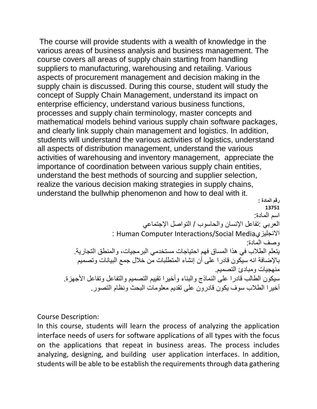The course will provide students with a wealth of knowledge in the various areas of business analysis and business management. The course covers all areas of supply chain starting from handling suppliers to manufacturing, warehousing and retailing. Various aspects of procurement management and decision making in the supply chain is discussed. During this course, student will study the concept of Supply Chain Management, understand its impact on enterprise efficiency, understand various business functions, processes and supply chain terminology, master concepts and mathematical models behind various supply chain software packages, and clearly link supply chain management and logistics. In addition, students will understand the various activities of logistics, understand all aspects of distribution management, understand the various activities of warehousing and inventory management, appreciate the importance of coordination between various supply chain entities, understand the best methods of sourcing and supplier selection, realize the various decision making strategies in supply chains, understand the bullwhip phenomenon and how to deal with it.

**رقم المادة : 13751** اسم المادة: العربي :تفاعل اإلنسان والحاسوب / التواصل اإلجتماعي : Human Computer Interactions/Social Mediaاالنجليزي وصف المادة: يتعلم الطالب في هذا المساق فهم احتياجات مستخدمي البرمجيات، والمنطق التجارية. باإلضافة انه سيكون قادرا على أن إنشاء المتطلبات من خالل جمع البيانات وتصميم منهجيات ومبادئ التصميم. سيكون الطالب قادرا على النماذج والبناء وأخيرا تقييم التصميم والتفاعل وتفاعل الأجهزة. أخيرا الطالب سوف يكون قادرون على تقديم معلومات البحث ونظام التصور.

Course Description:

In this course, students will learn the process of analyzing the application interface needs of users for software applications of all types with the focus on the applications that repeat in business areas. The process includes analyzing, designing, and building user application interfaces. In addition, students will be able to be establish the requirements through data gathering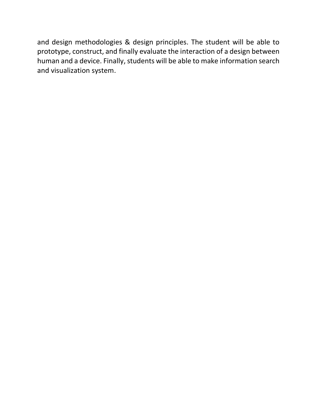and design methodologies & design principles. The student will be able to prototype, construct, and finally evaluate the interaction of a design between human and a device. Finally, students will be able to make information search and visualization system.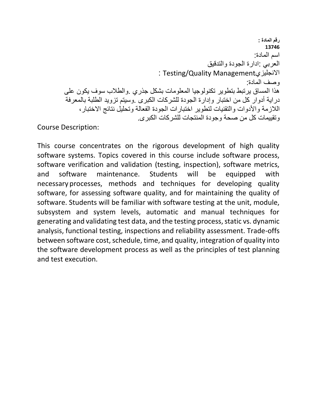**رقم المادة : 13746** اسم المادة: العربي :ادارة الجودة والتدقيق : Testing/Quality Managementاالنجليزي وصف المادة: هذا المساق يرتبط بتطوير تكنولوجيا المعلومات بشكل جذري .والطالب سوف يكون على دراية أدوار كل من اختبار وإدارة الجودة للشركات الكبرى .وسيتم تزويد الطلبة بالمعرفة الالزمة واألدوات والتقنيات لتطوير اختبارات الجودة الفعالة وتحليل نتائج االختبار، وتقييمات كل من صحة وجودة المنتجات للشركات الكبرى.

Course Description:

This course concentrates on the rigorous development of high quality software systems. Topics covered in this course include software process, software verification and validation (testing, inspection), software metrics, and software maintenance. Students will be equipped with necessary processes, methods and techniques for developing quality software, for assessing software quality, and for maintaining the quality of software. Students will be familiar with software testing at the unit, module, subsystem and system levels, automatic and manual techniques for generating and validating test data, and the testing process, static vs. dynamic analysis, functional testing, inspections and reliability assessment. Trade-offs between software cost, schedule, time, and quality, integration of quality into the software development process as well as the principles of test planning and test execution.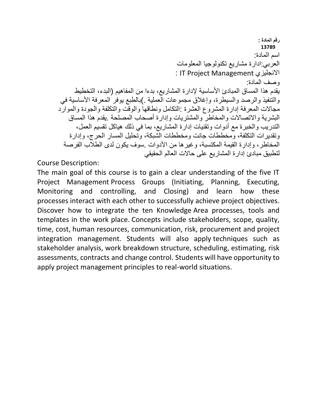**رقم المادة : 13789** اسم المادة: العربي:ادارة مشاريع تكنولوجيا المعلومات : IT Project Management االنجليزي وصف المادة: يقدم هذا المساق المبادئ األساسية إلدارة المشاريع، بدءا من المفاهيم (البدء، التخطيط والتنفيذ والرصد والسيطرة، وإغالق مجموعات العملية .)بالطبع يوفر المعرفة األساسية في مجاالت المعرفة إدارة المشروع العشرة :التكامل ونطاقها والوقت والتكلفة والجودة والموارد البشرية واالتصاالت والمخاطر والمشتريات وإدارة أصحاب المصلحة .يقدم هذا المساق التدريب والخبرة مع أدوات وتقنيات إدارة المشاريع، بما في ذلك هياكل تقسيم العمل، وتقديرات التكلفة، ومخططات جانت ومخططات الشبكة، وتحليل المسار الحرج، وإدارة المخاطر، وإدارة القيمة المكتسبة، وغيرها من الأدوات .سوف يكون لدى الطلاب الفرصة لتطبيق مبادئ إدارة المشاريع على حاالت العالم الحقيقي

Course Description:

The main goal of this course is to gain a clear understanding of the five IT Project Management Process Groups (Initiating, Planning, Executing, Monitoring and controlling, and Closing) and learn how these processes interact with each other to successfully achieve project objectives. Discover how to integrate the ten Knowledge Area processes, tools and templates in the work place. Concepts include stakeholders, scope, quality, time, cost, human resources, communication, risk, procurement and project integration management. Students will also apply techniques such as stakeholder analysis, work breakdown structure, scheduling, estimating, risk assessments, contracts and change control. Students will have opportunity to apply project management principles to real-world situations.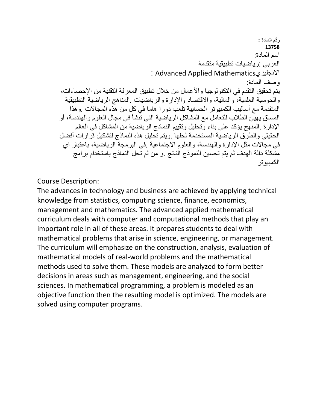**رقم المادة : 13758** اسم المادة: العربي :رياضيات تطبيقية متقدمة : Advanced Applied Mathematicsاالنجليزي وصف المادة: يتم تحقيق التقدم في التكنولوجيا والأعمال من خلال تطبيق المعرفة التقنية من الإحصاءات، والحوسبة العلمية، والمالية، واالقتصاد واإلدارة والرياضيات .المناهج الرياضية التطبيقية المتقدمة مع أساليب الكمبيوتر الحسابية تلعب دورا هاما في كل من هذه المجاالت .وهذا المساق يهيئ الطالب للتعامل مع المشاكل الرياضية التي تنشأ في مجال العلوم والهندسة، أو اإلدارة .المنهج يؤكد على بناء وتحليل وتقييم النماذج الرياضية من المشاكل في العالم الحقيقي والطرق الرياضية المستخدمة لحلها .ويتم تحليل هذه النماذج لتشكيل قرارات أفضل في مجاالت مثل اإلدارة والهندسة، والعلوم االجتماعية .في البرمجة الرياضية، باعتبار اي مشكلة دالة الهدف ثم يتم تحسين النموذج الناتج .و من ثم تحل النماذج باستخدام برامج الكمبيوتر

Course Description:

The advances in technology and business are achieved by applying technical knowledge from statistics, computing science, finance, economics, management and mathematics. The advanced applied mathematical curriculum deals with computer and computational methods that play an important role in all of these areas. It prepares students to deal with mathematical problems that arise in science, engineering, or management. The curriculum will emphasize on the construction, analysis, evaluation of mathematical models of real-world problems and the mathematical methods used to solve them. These models are analyzed to form better decisions in areas such as management, engineering, and the social sciences. In mathematical programming, a problem is modeled as an objective function then the resulting model is optimized. The models are solved using computer programs.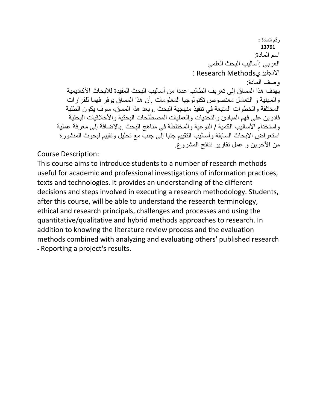**رقم المادة : 13791** اسم المادة: العربي :أساليب البحث العلمي : Research Methodsاالنجليزي وصف المادة: يهدف هذا المساق إلى تعريف الطالب عددا من أساليب البحث المفيدة لالبحاث األكاديمية والمهنية و التعامل معنصوص تكنولوجيا المعلومات .أن هذا المساق يوفر فهما للقرارات المختلفة والخطوات المتبعة في تنفيذ منهجية البحث .وبعد هذا المسق، سوف يكون الطلبة قادرين على فهم المبادئ والتحديات والعمليات المصطلحات البحثية والأخلاقيات البحثية واستخدام الأساليب الكمية / النوعية والمختلطة في مناهج البحث .بالإضافة إلى معرفة عملية استعراض الابحاث السابقة وأساليب التقييم جنبا إلى جنب مع تحليل وتقييم لبحوث المنشورة من اآلخرين و عمل تقارير نتائج المشروع.

Course Description:

This course aims to introduce students to a number of research methods useful for academic and professional investigations of information practices, texts and technologies. It provides an understanding of the different decisions and steps involved in executing a research methodology. Students, after this course, will be able to understand the research terminology, ethical and research principals, challenges and processes and using the quantitative/qualitative and hybrid methods approaches to research. In addition to knowing the literature review process and the evaluation methods combined with analyzing and evaluating others' published research **-** Reporting a project's results.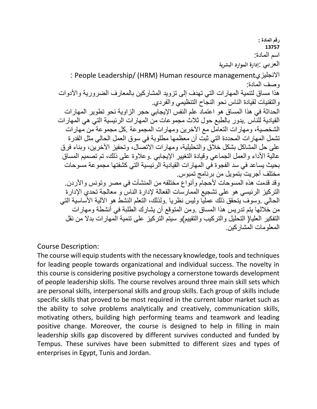**رقم المادة : 13757** اسم المادة: العربي :**إدارة الموارد البشرية** : People Leadership/ (HRM) Human resource managementاالنجليزي وصف المادة: هذا مساق لتنمية المهار ات التي تهدف إلى تزويد المشاركين بالمعارف الضرورية والأدوات والتقنيات لقيادة الناس نحو النجاح التنظيمي والفردي. الحداثة في هذا المساق هو اعتماد علم النفس اإليجابي حجر الزاوية نحو تطوير المهارات القيادية للناس .يدور بالطبع حول ثالث مجموعات من المهارات الرئيسية التي هي المهارات الشخصية، ومهارات التعامل مع اآلخرين ومهارات المجموعة .كل مجموعة من مهارات تشمل المهارات المحددة التي ثبت أن معظمها مطلوبة في سوق العمل الحالي مثل القدرة على حل المشاكل بشكل خالق والتحليلية، ومهارات االتصال، وتحفيز اآلخرين، وبناء فرق عالية الأداء والعمل الجماعي وقيادة التغيير الإيجابي .وعلاوة على ذلك، تم تصميم المساق بحيث يساعد في سد الفجوة في المهارات القيادية الرئيسية التي كشفتها مجموعة مسوحات مختلف أجريت بتمويل من برنامج تمبوس. وقد قدمت هذه المسوحات لأحجام وأنواع مختلفه من المنشآت في مصر وتونس والأردن. التركيز الرئيسي هو على تشجيع الممارسات الفعالة إلدارة الناس و معالجة تحدي اإلدارة الحالي .وسوف ّيتحقق ذلّك عمليّا وليس نظريا .ولذلك، التعلم النشط هو الألية الأَساسية التي من خاللها يتم تدريس هذا المساق .ومن المتوقع أن يشارك الطلبة في أنشطة ومهارات التفكير العليا( التحليل والتركيب والتقييم)و سيتم التركيز على تنمية المهارات بدال من نقل المعلومات المشاركين.

Course Description:

The course will equip students with the necessary knowledge, tools and techniques for leading people towards organizational and individual success. The novelty in this course is considering positive psychology a cornerstone towards development of people leadership skills. The course revolves around three main skill sets which are personal skills, interpersonal skills and group skills. Each group of skills include specific skills that proved to be most required in the current labor market such as the ability to solve problems analytically and creatively, communication skills, motivating others, building high performing teams and teamwork and leading positive change. Moreover, the course is designed to help in filling in main leadership skills gap discovered by different survives conducted and funded by Tempus. These survives have been submitted to different sizes and types of enterprises in Egypt, Tunis and Jordan.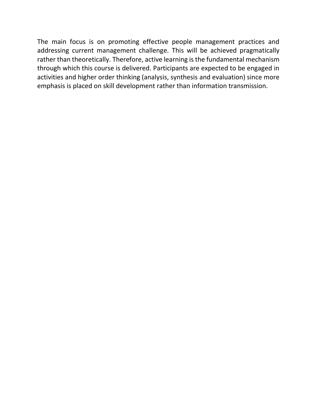The main focus is on promoting effective people management practices and addressing current management challenge. This will be achieved pragmatically rather than theoretically. Therefore, active learning is the fundamental mechanism through which this course is delivered. Participants are expected to be engaged in activities and higher order thinking (analysis, synthesis and evaluation) since more emphasis is placed on skill development rather than information transmission.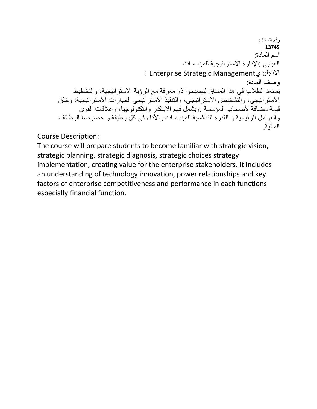**رقم المادة : 13745** اسم المادة: العربي :اإلدارة االستراتيجية للمؤسسات : Enterprise Strategic Managementاالنجليزي وصف المادة: يستعد الطالب في هذا المساق ليصبحوا ذو معرفة مع الرؤية االستراتيجية، والتخطيط االستراتيجي، والتشخيص االستراتيجي، والتنفيذ االستراتيجي الخيارات االستراتيجية، وخلق قيمة مضافة ألصحاب المؤسسة .ويشمل فهم االبتكار والتكنولوجيا، وعالقات القوى والعوامل الرئيسية و القدرة التنافسية للمؤسسات واألداء في كل وظيفة و خصوصا الوظائف المالية.

Course Description:

The course will prepare students to become familiar with strategic vision, strategic planning, strategic diagnosis, strategic choices strategy implementation, creating value for the enterprise stakeholders. It includes an understanding of technology innovation, power relationships and key factors of enterprise competitiveness and performance in each functions especially financial function.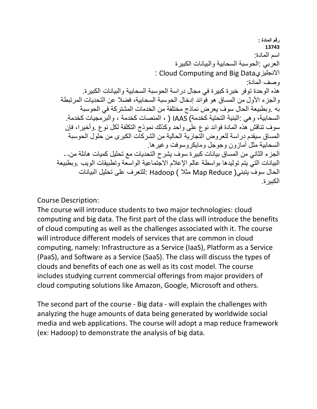**رقم المادة : 13743** اسم المادة: العربي :الحوسبة السحابية والبيانات الكبيرة : Cloud Computing and Big Dataاالنجليزي وصف المادة: هذه الوحدة توفر خبرة كبيرة في مجال دراسة الحوسبة السحابية والبيانات الكبيرة. والجزء الأول من المساق هو فوائد إدخال الحوسبة السحابية، فضلا عن التحديات المرتبطة به .وبطبيعة الحال سوف يعرض نماذج مختلفة من الخدمات المشتركة في الحوسبة السحابية، وهي :البنية التحتية كخدمة) IAAS ) ، المنصات كخدمة ، والبرمجيات كخدمة. سوف تناقش هذه المادة فوائد نوع على واحد وكذلك نموذج التكلفة لكل نوع .وأخيرا، فإن المساق سيقدم دراسة للعروض التجارية الحالية من الشركات الكبرى من حلول الحوسبة السحابية مثل أماز ون وجوجل ومايكر وسوفت وغير ها. الجزء الثاني من المساق بيانات كبيرة سوف يشرح التحديات مع تحليل كميات هائلة من**- -** البيانات التي يتم توليدها بواسطة عالم اإلعالم االجتماعية الواسعة وتطبيقات الويب .وبطبيعة الحال سوف يتبني( Reduce Map مثال ) Hadoop :للتعرف على تحليل البيانات الكبيرة.

Course Description:

The course will introduce students to two major technologies: cloud computing and big data. The first part of the class will introduce the benefits of cloud computing as well as the challenges associated with it. The course will introduce different models of services that are common in cloud computing, namely: Infrastructure as a Service (IaaS), Platform as a Service (PaaS), and Software as a Service (SaaS). The class will discuss the types of clouds and benefits of each one as well as its cost model. The course includes studying current commercial offerings from major providers of cloud computing solutions like Amazon, Google, Microsoft and others.

The second part of the course - Big data - will explain the challenges with analyzing the huge amounts of data being generated by worldwide social media and web applications. The course will adopt a map reduce framework (ex: Hadoop) to demonstrate the analysis of big data.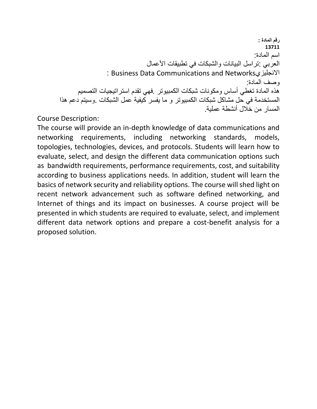**رقم المادة : 13711** اسم المادة: العربي :تراسل البيانات والشبكات في تطبيقات األعمال : Business Data Communications and Networksاالنجليزي وصف المادة: هذه المادة تغطي أساس ومكونات شبكات الكمبيوتر .فهي تقدم استراتيجيات التصميم المستخدمة في حل مشاكل شبكات الكمبيوتر و ما يفسر كيفية عمل الشبكات .وسيتم دعم هذا المسار من خالل أنشطة عملية.

Course Description:

The course will provide an in-depth knowledge of data communications and networking requirements, including networking standards, models, topologies, technologies, devices, and protocols. Students will learn how to evaluate, select, and design the different data communication options such as bandwidth requirements, performance requirements, cost, and suitability according to business applications needs. In addition, student will learn the basics of network security and reliability options. The course will shed light on recent network advancement such as software defined networking, and Internet of things and its impact on businesses. A course project will be presented in which students are required to evaluate, select, and implement different data network options and prepare a cost-benefit analysis for a proposed solution.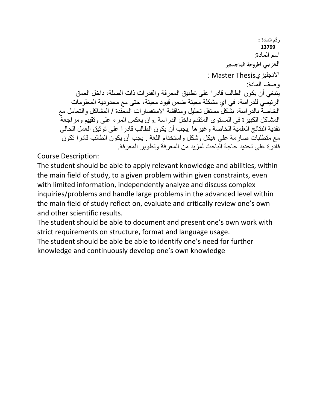**رقم المادة : 13799** اسم المادة: العربي **أطروحة الماجستير** : Master Thesisاالنجليزي وصف المادة: ينبغي أن يكون الطالب قادرا على تطبيق المعرفة والقدرات ذات الصلة، داخل العمق الرئيسي للدراسة، في اي مشكلة معينة ضمن قيود معينة، حتى مع محدودية المعلومات الخاصة بالدراسة، بشكل مستقل تحليل ومناقشة االستفسارات المعقدة / المشاكل والتعامل مع المشاكل الكبيرة في المستوى المتقدم داخل الدراسة .وان يعكس المرء على وتقييم ومراجعة نقدية النتائج العلمية الخاصة وغيرها .يجب أن يكون الطالب قادرا على توثيق العمل الحالي مع متطلبات صارمة على هيكل وشكل واستخدام اللغة . يجب أن يكون الطالب قادرا تكون قادرة على تحديد حاجة الباحث لمزيد من المعرفة وتطوير المعرفة.

Course Description:

The student should be able to apply relevant knowledge and abilities, within the main field of study, to a given problem within given constraints, even with limited information, independently analyze and discuss complex inquiries/problems and handle large problems in the advanced level within the main field of study reflect on, evaluate and critically review one's own and other scientific results.

The student should be able to document and present one's own work with strict requirements on structure, format and language usage.

The student should be able be able to identify one's need for further knowledge and continuously develop one's own knowledge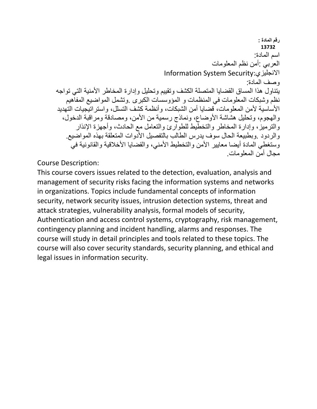**رقم المادة : 13732** اسم المادة: العربي :أمن نظم المعلومات Information System Security:االنجليزي وصف المادة: يتناول هذا المساق القضايا المتصلة الكشف وتقييم وتحليل وإدارة المخاطر األمنية التي تواجه نظم وشبكات المعلومات في المنظمات و المؤوسسات الكبرى .وتشمل المواضيع المفاهيم الأساسية لأمن المعلومات، قضايا أمن الشبكات، و أنظمة كشف التسلل، و استر اتيجيات التهديد والهجوم، وتحليل هشاشة الأوضاع، ونماذج رسمية من الأمن، ومصادقة ومراقبة الدخول، والترميز، وإدارة المخاطر والتخطيط للطوارئ والتعامل مع الحادث، وأجهزة اإلنذار والردود .وبطبيعة الحال سوف يدرس الطالب بالتفصيل الأدوات المتعلقة بهذه المواضيع. وستغطي المادة أيضا معايير الأمن والتخطيط الأمني، والقضايا الأخلاقية والقانونية في مجال أمن المعلومات.

Course Description:

This course covers issues related to the detection, evaluation, analysis and management of security risks facing the information systems and networks in organizations. Topics include fundamental concepts of information security, network security issues, intrusion detection systems, threat and attack strategies, vulnerability analysis, formal models of security, Authentication and access control systems, cryptography, risk management, contingency planning and incident handling, alarms and responses. The course will study in detail principles and tools related to these topics. The course will also cover security standards, security planning, and ethical and legal issues in information security.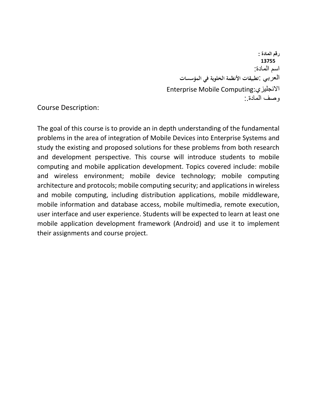**رقم المادة : 13755** اسم المادة: العربي :**تطبيقات األنظمة الخلوية في المؤسسات** Enterprise Mobile Computing:االنجليزي وصف المادة:.

Course Description:

The goal of this course is to provide an in depth understanding of the fundamental problems in the area of integration of Mobile Devices into Enterprise Systems and study the existing and proposed solutions for these problems from both research and development perspective. This course will introduce students to mobile computing and mobile application development. Topics covered include: mobile and wireless environment; mobile device technology; mobile computing architecture and protocols; mobile computing security; and applications in wireless and mobile computing, including distribution applications, mobile middleware, mobile information and database access, mobile multimedia, remote execution, user interface and user experience. Students will be expected to learn at least one mobile application development framework (Android) and use it to implement their assignments and course project.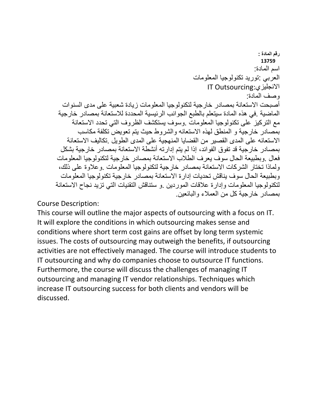## **رقم المادة : 13759** اسم المادة: العربي :توريد تكنولوجيا المعلومات IT Outsourcing:االنجليزي وصف المادة: أصبحت الاستعانة بمصادر خار جبة لتكنولوجيا المعلومات زيادة شعبية على مدى السنوات الماضية .في هذه المادة سيتعلم بالطبع الجوانب الرئيسية المحددة لالستعانة بمصادر خارجية مع التركيز على تكنولوجيا المعلومات .وسوف يستكشف الظروف التي تحدد االستعانة بمصادر خارجية و المنطق لهذه االستعانه والشروط حيث يتم تعويض تكلفة مكاسب االستعانه على المدى القصير من القضايا المنهجية على المدى الطويل .تكاليف االستعانة بمصادر خارجية قد تفوق الفوائد، إذا لم يتم إدارته أنشطة االستعانة بمصادر خارجية بشكل فعال .وبطبيعة الحال سوف يعرف الطالب االستعانة بمصادر خارجية لتكنولوجيا المعلومات ولماذا تختار الشركات االستعانة بمصادر خارجية لتكنولوجيا المعلومات .وعالوة على ذلك، وبطبيعة الحال سوف يناقش تحديات إدارة االستعانة بمصادر خارجية تكنولوجيا المعلومات لتكنولوجيا المعلومات وإدارة عالقات الموردين .و ستناقش التقنيات التي تزيد نجاح االستعانة بمصادر خارجية كل من العمالء والبائعين.

Course Description:

This course will outline the major aspects of outsourcing with a focus on IT. It will explore the conditions in which outsourcing makes sense and conditions where short term cost gains are offset by long term systemic issues. The costs of outsourcing may outweigh the benefits, if outsourcing activities are not effectively managed. The course will introduce students to IT outsourcing and why do companies choose to outsource IT functions. Furthermore, the course will discuss the challenges of managing IT outsourcing and managing IT vendor relationships. Techniques which increase IT outsourcing success for both clients and vendors will be discussed.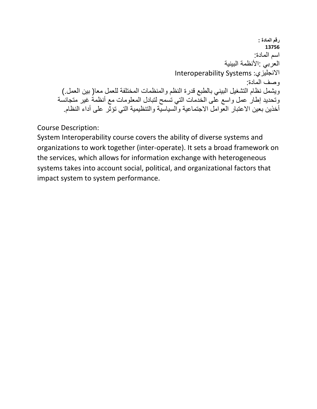**رقم المادة : 13756** اسم المادة: العربي :الأنظمة البينية Interoperability Systems :االنجليزي وصف المادة: ويشمل نظام التشغيل البيني بالطبع قدرة النظم والمنظمات المختلفة للعمل معا( بين العمل.) وتحديد إطار عمل واسع على الخدمات التي تسمح لتبادل المعلومات مع أنظمة غير متجانسة أخذين بعين الاعتبار العوامل الاجتماعية والسياسية والتنظيمية التي تؤثّر على أداء النظام.

Course Description:

System Interoperability course covers the ability of diverse systems and organizations to work together (inter-operate). It sets a broad framework on the services, which allows for information exchange with heterogeneous systems takes into account social, political, and organizational factors that impact system to system performance.